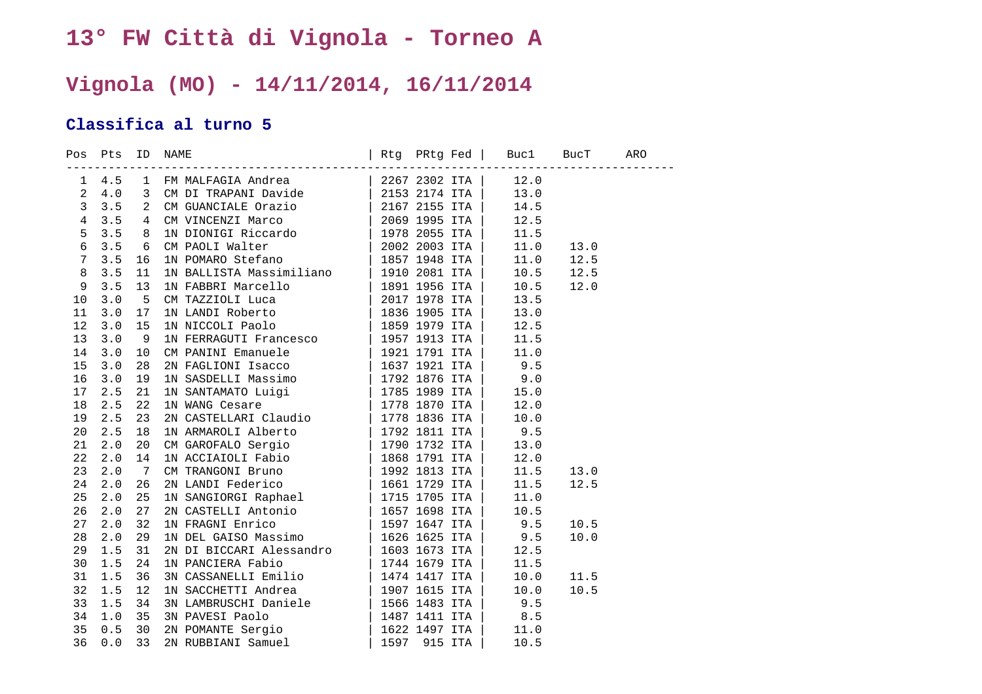## **13° FW Città di Vignola - Torneo A**

## **Vignola (MO) - 14/11/2014, 16/11/2014**

## **Classifica al turno 5**

|                 | Pos Pts<br>-------------- |                         | Rtg PRtg Fed   Bucl BucT ARO<br>ID NAME |  |      |      |  |
|-----------------|---------------------------|-------------------------|-----------------------------------------|--|------|------|--|
| $\mathbf{1}$    | $4.5$ 1                   |                         |                                         |  | 12.0 |      |  |
| $\overline{a}$  | 4.0                       | $\overline{\mathbf{3}}$ |                                         |  | 13.0 |      |  |
| $\mathbf{3}$    | 3.5                       | 2                       |                                         |  | 14.5 |      |  |
| $\overline{4}$  | 3.5                       | 4                       |                                         |  | 12.5 |      |  |
| 5               | 3.5                       | 8                       |                                         |  | 11.5 |      |  |
| $\epsilon$      | 3.5                       | 6                       |                                         |  | 11.0 | 13.0 |  |
| $7\phantom{.0}$ | 3.5                       | 16                      |                                         |  | 11.0 | 12.5 |  |
| $\,8\,$         | 3.5                       | 11                      |                                         |  | 10.5 | 12.5 |  |
| $\overline{9}$  | 3.5                       | 13                      |                                         |  | 10.5 | 12.0 |  |
| 10              | 3.0                       | 5                       |                                         |  | 13.5 |      |  |
| 11              | 3.0                       | 17                      |                                         |  | 13.0 |      |  |
| 12              | 3.0                       | 15                      |                                         |  | 12.5 |      |  |
| 13              | $3.0$                     | -9                      |                                         |  | 11.5 |      |  |
| 14              | 3.0                       | 10                      |                                         |  | 11.0 |      |  |
| 15              | 3.0                       | 28                      |                                         |  | 9.5  |      |  |
| 16              | 3.0                       | 19                      |                                         |  | 9.0  |      |  |
| 17              | 2.5                       | 21                      |                                         |  | 15.0 |      |  |
| 18              | 2.5                       | 22                      |                                         |  | 12.0 |      |  |
| 19              | 2.5                       | 23                      |                                         |  | 10.0 |      |  |
| 20              | 2.5                       | 18                      |                                         |  | 9.5  |      |  |
| 21              | 2.0                       | 20                      |                                         |  | 13.0 |      |  |
| 22              | 2.0                       | 14                      |                                         |  | 12.0 |      |  |
| 23              | 2.0                       | 7                       |                                         |  | 11.5 | 13.0 |  |
| 24              | 2.0                       | 26                      |                                         |  | 11.5 | 12.5 |  |
| 25              | 2.0                       | 25                      |                                         |  | 11.0 |      |  |
| 26              | 2.0                       | 27                      |                                         |  | 10.5 |      |  |
| 27              | 2.0                       | 32                      |                                         |  | 9.5  | 10.5 |  |
| 28              | 2.0                       | 29                      |                                         |  | 9.5  | 10.0 |  |
| 29              | 1.5                       | 31                      |                                         |  | 12.5 |      |  |
| 30              | 1.5                       | 24                      |                                         |  | 11.5 |      |  |
| 31              | 1.5                       | 36                      |                                         |  | 10.0 | 11.5 |  |
| 32              | 1.5                       | 12                      |                                         |  | 10.0 | 10.5 |  |
| 33              | 1.5                       | 34                      |                                         |  | 9.5  |      |  |
| 34              | 1.0                       | 35                      |                                         |  | 8.5  |      |  |
| 35              | 0.5                       | 30                      |                                         |  | 11.0 |      |  |
| 36              | 0.0                       | 33                      |                                         |  | 10.5 |      |  |